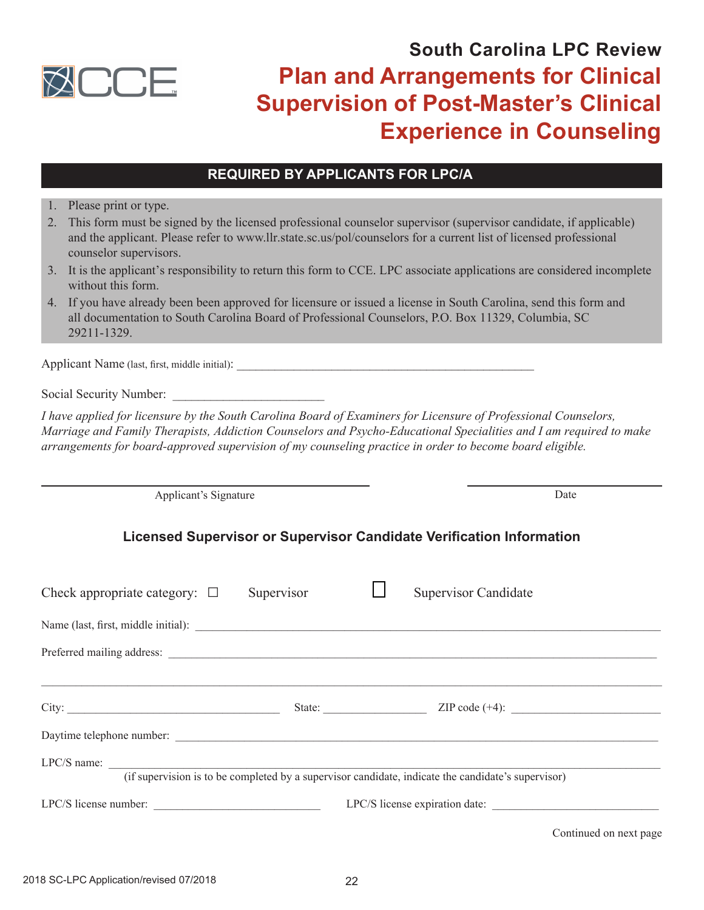

# **South Carolina LPC Review Plan and Arrangements for Clinical Supervision of Post-Master's Clinical Experience in Counseling**

## **REQUIRED BY APPLICANTS FOR LPC/A**

1. Please print or type.

- 2. This form must be signed by the licensed professional counselor supervisor (supervisor candidate, if applicable) and the applicant. Please refer to www.llr.state.sc.us/pol/counselors for a current list of licensed professional counselor supervisors.
- 3. It is the applicant's responsibility to return this form to CCE. LPC associate applications are considered incomplete without this form.
- 4. If you have already been been approved for licensure or issued a license in South Carolina, send this form and all documentation to South Carolina Board of Professional Counselors, P.O. Box 11329, Columbia, SC 29211-1329.

Applicant Name (last, first, middle initial): \_\_\_\_\_\_\_\_\_\_\_\_\_\_\_\_\_\_\_\_\_\_\_\_\_\_\_\_\_\_\_\_\_\_\_\_\_\_\_\_\_\_\_\_\_\_\_

Social Security Number:

*I have applied for licensure by the South Carolina Board of Examiners for Licensure of Professional Counselors, Marriage and Family Therapists, Addiction Counselors and Psycho-Educational Specialities and I am required to make arrangements for board-approved supervision of my counseling practice in order to become board eligible.* 

Applicant's Signature Date

**a**

**Licensed Supervisor or Supervisor Candidate Verification Information**

| Check appropriate category: $\Box$ | Supervisor | <b>Supervisor Candidate</b>                                                                        |
|------------------------------------|------------|----------------------------------------------------------------------------------------------------|
|                                    |            |                                                                                                    |
|                                    |            |                                                                                                    |
|                                    |            | State: <u>ZIP</u> code (+4):                                                                       |
|                                    |            |                                                                                                    |
|                                    |            | (if supervision is to be completed by a supervisor candidate, indicate the candidate's supervisor) |
| LPC/S license number:              |            | LPC/S license expiration date:                                                                     |
|                                    |            | Continued on next page                                                                             |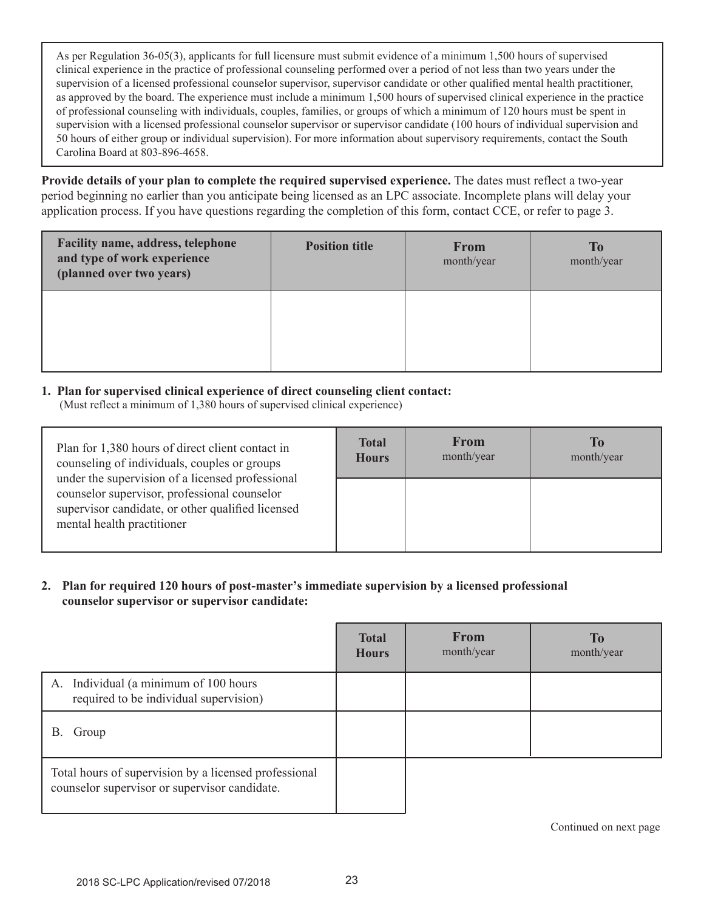As per Regulation 36-05(3), applicants for full licensure must submit evidence of a minimum 1,500 hours of supervised clinical experience in the practice of professional counseling performed over a period of not less than two years under the supervision of a licensed professional counselor supervisor, supervisor candidate or other qualified mental health practitioner, as approved by the board. The experience must include a minimum 1,500 hours of supervised clinical experience in the practice of professional counseling with individuals, couples, families, or groups of which a minimum of 120 hours must be spent in supervision with a licensed professional counselor supervisor or supervisor candidate (100 hours of individual supervision and 50 hours of either group or individual supervision). For more information about supervisory requirements, contact the South Carolina Board at 803-896-4658.

**Provide details of your plan to complete the required supervised experience.** The dates must reflect a two-year period beginning no earlier than you anticipate being licensed as an LPC associate. Incomplete plans will delay your application process. If you have questions regarding the completion of this form, contact CCE, or refer to page 3.

| Facility name, address, telephone<br>and type of work experience<br>(planned over two years) | <b>Position title</b> | <b>From</b><br>month/year | <b>To</b><br>month/year |
|----------------------------------------------------------------------------------------------|-----------------------|---------------------------|-------------------------|
|                                                                                              |                       |                           |                         |

#### **1. Plan for supervised clinical experience of direct counseling client contact:**

(Must reflect a minimum of 1,380 hours of supervised clinical experience)

| Plan for 1,380 hours of direct client contact in<br>counseling of individuals, couples or groups<br>under the supervision of a licensed professional<br>counselor supervisor, professional counselor<br>supervisor candidate, or other qualified licensed<br>mental health practitioner | <b>Total</b><br><b>Hours</b> | From<br>month/year | To<br>month/year |
|-----------------------------------------------------------------------------------------------------------------------------------------------------------------------------------------------------------------------------------------------------------------------------------------|------------------------------|--------------------|------------------|
|                                                                                                                                                                                                                                                                                         |                              |                    |                  |

### **2. Plan for required 120 hours of post-master's immediate supervision by a licensed professional counselor supervisor or supervisor candidate:**

|                                                                                                        | <b>Total</b><br><b>Hours</b> | <b>From</b><br>month/year | <b>To</b><br>month/year |
|--------------------------------------------------------------------------------------------------------|------------------------------|---------------------------|-------------------------|
| Individual (a minimum of 100 hours<br>A.<br>required to be individual supervision)                     |                              |                           |                         |
| В.<br>Group                                                                                            |                              |                           |                         |
| Total hours of supervision by a licensed professional<br>counselor supervisor or supervisor candidate. |                              |                           |                         |

Continued on next page